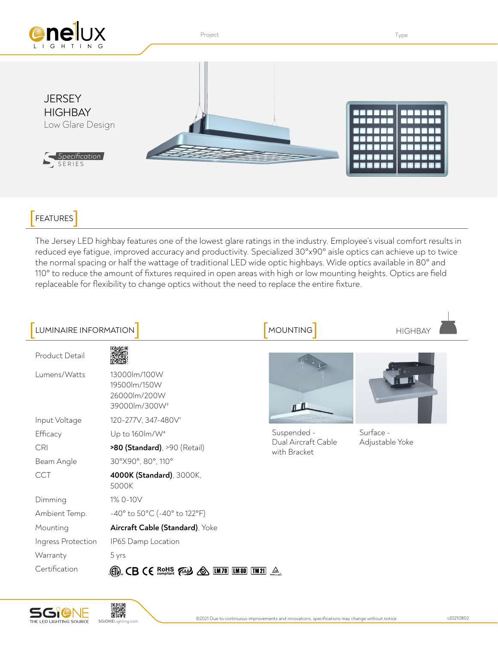

FEATURES<sup>]</sup>

The Jersey LED highbay features one of the lowest glare ratings in the industry. Employee's visual comfort results in reduced eye fatigue, improved accuracy and productivity. Specialized 30°x90° aisle optics can achieve up to twice the normal spacing or half the wattage of traditional LED wide optic highbays. Wide optics available in 80° and 110° to reduce the amount of fixtures required in open areas with high or low mounting heights. Optics are field replaceable for flexibility to change optics without the need to replace the entire fixture.

| LUMINAIRE INFORMATION |                                                                                                         | <b>MOUNTING</b>                                    | <b>HIGHBAY</b>               |
|-----------------------|---------------------------------------------------------------------------------------------------------|----------------------------------------------------|------------------------------|
| Product Detail        |                                                                                                         |                                                    |                              |
| Lumens/Watts          | 13000lm/100W<br>19500lm/150W<br>26000lm/200W<br>39000lm/300W <sup>2</sup>                               |                                                    |                              |
| Input Voltage         | 120-277V, 347-480V1                                                                                     |                                                    |                              |
| Efficacy              | Up to 160lm/W <sup>4</sup>                                                                              | Suspended -<br>Dual Aircraft Cable<br>with Bracket | Surface -<br>Adjustable Yoke |
| <b>CRI</b>            | >80 (Standard), >90 (Retail)                                                                            |                                                    |                              |
| Beam Angle            | 30°X90°, 80°, 110°                                                                                      |                                                    |                              |
| <b>CCT</b>            | 4000K (Standard), 3000K,<br>5000K                                                                       |                                                    |                              |
| Dimming               | 1% 0-10V                                                                                                |                                                    |                              |
| Ambient Temp.         | $-40^{\circ}$ to 50 $^{\circ}$ C (-40 $^{\circ}$ to 122 $^{\circ}$ F)                                   |                                                    |                              |
| Mounting              | Aircraft Cable (Standard), Yoke                                                                         |                                                    |                              |
| Ingress Protection    | IP65 Damp Location                                                                                      |                                                    |                              |
| Warranty              | 5 yrs                                                                                                   |                                                    |                              |
| Certification         | $\mathbb{CD}$ CB CE $\mathbb{R}$ $\mathbb{CP}$ $\mathbb{CP}$ $\mathbb{CP}$<br><b>LM 79 LM 80</b><br>∕⊗∖ | $\boxed{\text{IM21}}$ $\triangle$                  |                              |





 $\overline{\phantom{a}}$